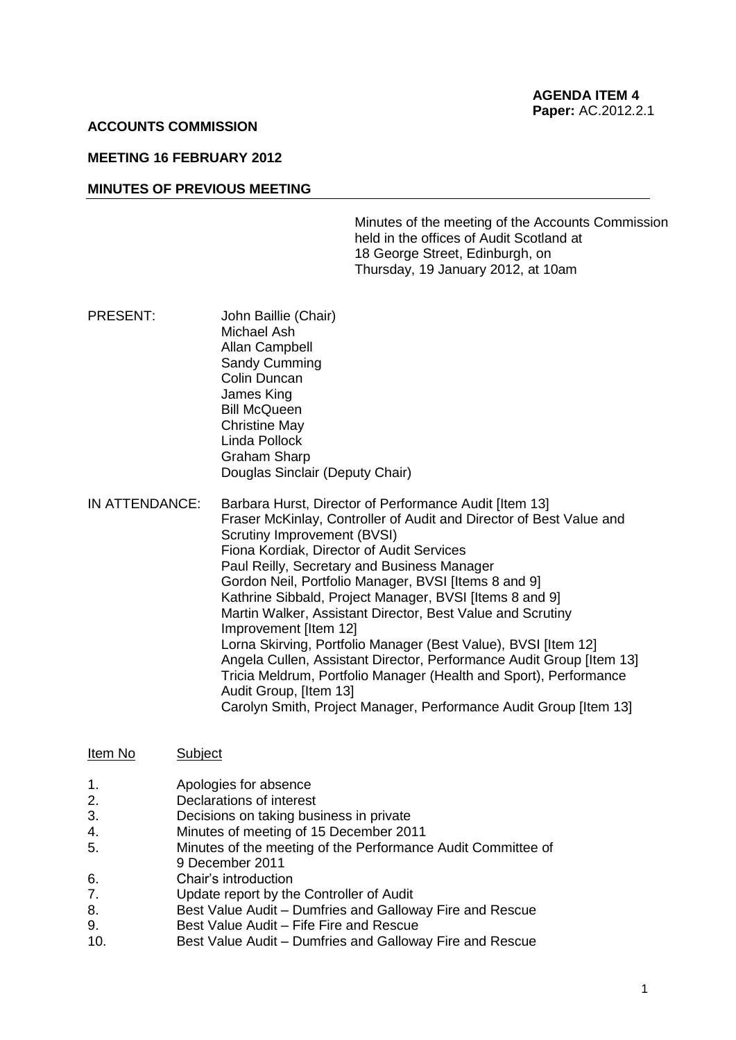#### **ACCOUNTS COMMISSION**

#### **MEETING 16 FEBRUARY 2012**

#### **MINUTES OF PREVIOUS MEETING**

Minutes of the meeting of the Accounts Commission held in the offices of Audit Scotland at 18 George Street, Edinburgh, on Thursday, 19 January 2012, at 10am

- PRESENT: John Baillie (Chair) Michael Ash Allan Campbell Sandy Cumming Colin Duncan James King Bill McQueen Christine May Linda Pollock Graham Sharp Douglas Sinclair (Deputy Chair)
- IN ATTENDANCE: Barbara Hurst, Director of Performance Audit [Item 13] Fraser McKinlay, Controller of Audit and Director of Best Value and Scrutiny Improvement (BVSI) Fiona Kordiak, Director of Audit Services Paul Reilly, Secretary and Business Manager Gordon Neil, Portfolio Manager, BVSI [Items 8 and 9] Kathrine Sibbald, Project Manager, BVSI [Items 8 and 9] Martin Walker, Assistant Director, Best Value and Scrutiny Improvement [Item 12] Lorna Skirving, Portfolio Manager (Best Value), BVSI [Item 12] Angela Cullen, Assistant Director, Performance Audit Group [Item 13] Tricia Meldrum, Portfolio Manager (Health and Sport), Performance Audit Group, [Item 13] Carolyn Smith, Project Manager, Performance Audit Group [Item 13]
- Item No Subject
- 1. Apologies for absence
- 2. Declarations of interest
- 3. Decisions on taking business in private
- 4. Minutes of meeting of 15 December 2011
- 5. Minutes of the meeting of the Performance Audit Committee of
- 9 December 2011
- 6. Chair's introduction
- 7. Update report by the Controller of Audit
- 8. Best Value Audit Dumfries and Galloway Fire and Rescue
- 9. Best Value Audit Fife Fire and Rescue
- 10. Best Value Audit Dumfries and Galloway Fire and Rescue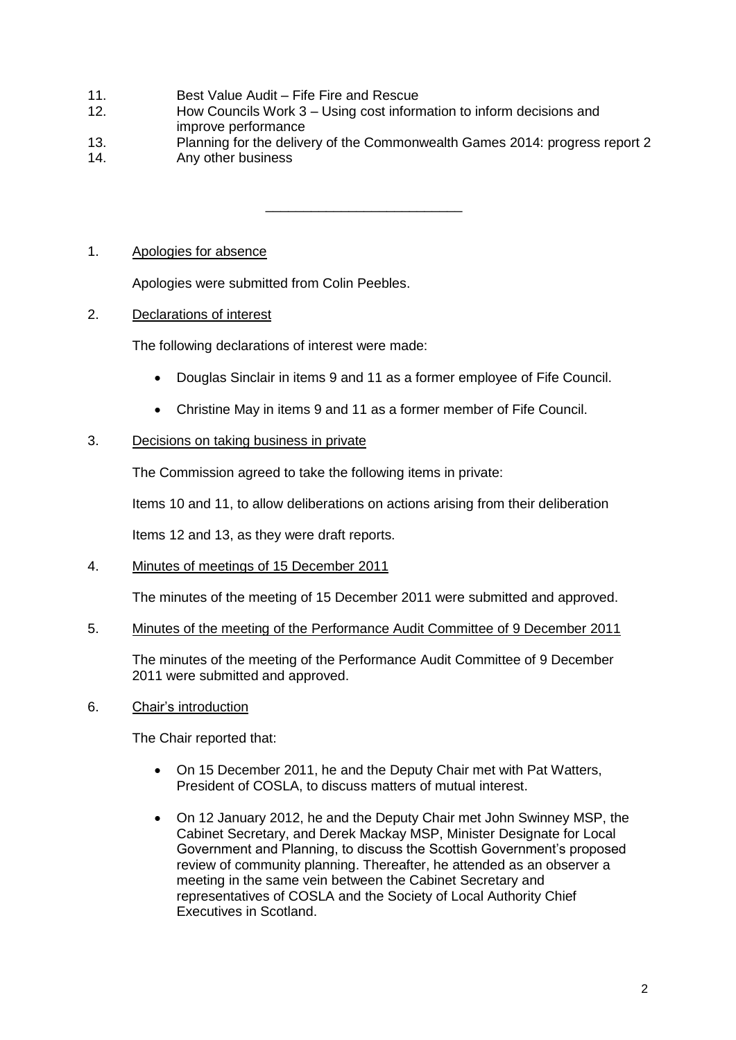- 11. Best Value Audit Fife Fire and Rescue
- 12. How Councils Work 3 Using cost information to inform decisions and improve performance
- 13. Planning for the delivery of the Commonwealth Games 2014: progress report 2
- 14. Any other business

\_\_\_\_\_\_\_\_\_\_\_\_\_\_\_\_\_\_\_\_\_\_\_\_\_\_

# 1. Apologies for absence

Apologies were submitted from Colin Peebles.

# 2. Declarations of interest

The following declarations of interest were made:

- Douglas Sinclair in items 9 and 11 as a former employee of Fife Council.
- Christine May in items 9 and 11 as a former member of Fife Council.

# 3. Decisions on taking business in private

The Commission agreed to take the following items in private:

Items 10 and 11, to allow deliberations on actions arising from their deliberation

Items 12 and 13, as they were draft reports.

# 4. Minutes of meetings of 15 December 2011

The minutes of the meeting of 15 December 2011 were submitted and approved.

# 5. Minutes of the meeting of the Performance Audit Committee of 9 December 2011

The minutes of the meeting of the Performance Audit Committee of 9 December 2011 were submitted and approved.

# 6. Chair's introduction

The Chair reported that:

- On 15 December 2011, he and the Deputy Chair met with Pat Watters, President of COSLA, to discuss matters of mutual interest.
- On 12 January 2012, he and the Deputy Chair met John Swinney MSP, the Cabinet Secretary, and Derek Mackay MSP, Minister Designate for Local Government and Planning, to discuss the Scottish Government's proposed review of community planning. Thereafter, he attended as an observer a meeting in the same vein between the Cabinet Secretary and representatives of COSLA and the Society of Local Authority Chief Executives in Scotland.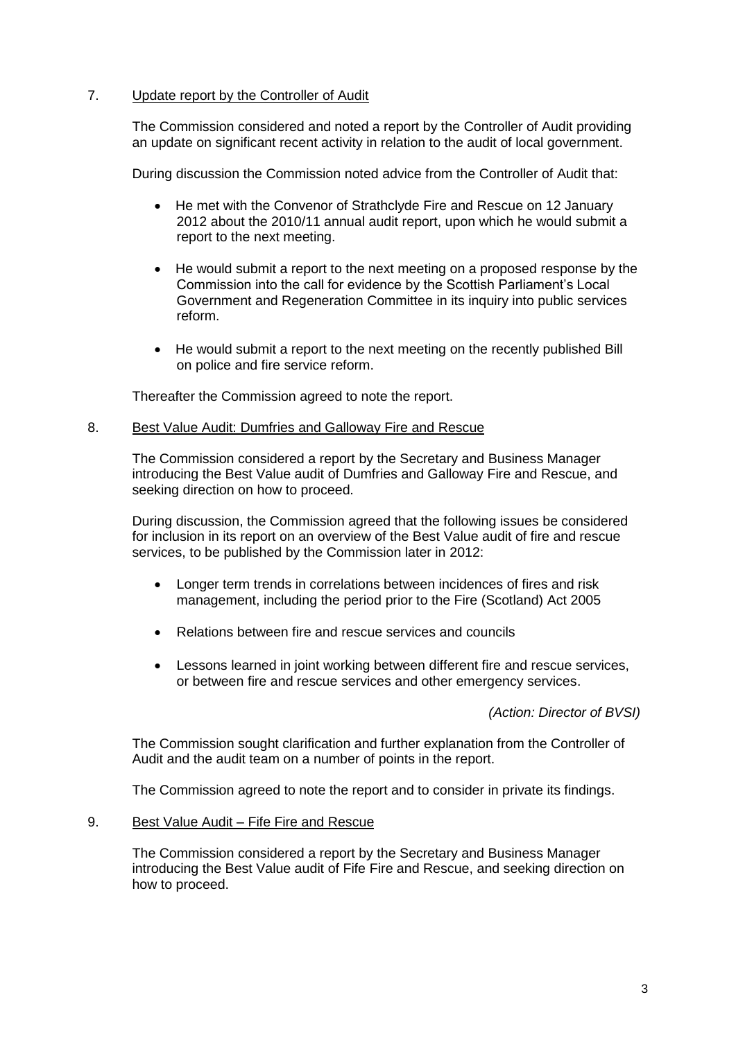# 7. Update report by the Controller of Audit

The Commission considered and noted a report by the Controller of Audit providing an update on significant recent activity in relation to the audit of local government.

During discussion the Commission noted advice from the Controller of Audit that:

- He met with the Convenor of Strathclyde Fire and Rescue on 12 January 2012 about the 2010/11 annual audit report, upon which he would submit a report to the next meeting.
- He would submit a report to the next meeting on a proposed response by the Commission into the call for evidence by the Scottish Parliament's Local Government and Regeneration Committee in its inquiry into public services reform.
- He would submit a report to the next meeting on the recently published Bill on police and fire service reform.

Thereafter the Commission agreed to note the report.

# 8. Best Value Audit: Dumfries and Galloway Fire and Rescue

The Commission considered a report by the Secretary and Business Manager introducing the Best Value audit of Dumfries and Galloway Fire and Rescue, and seeking direction on how to proceed.

During discussion, the Commission agreed that the following issues be considered for inclusion in its report on an overview of the Best Value audit of fire and rescue services, to be published by the Commission later in 2012:

- Longer term trends in correlations between incidences of fires and risk management, including the period prior to the Fire (Scotland) Act 2005
- Relations between fire and rescue services and councils
- Lessons learned in joint working between different fire and rescue services, or between fire and rescue services and other emergency services.

*(Action: Director of BVSI)*

The Commission sought clarification and further explanation from the Controller of Audit and the audit team on a number of points in the report.

The Commission agreed to note the report and to consider in private its findings.

## 9. Best Value Audit – Fife Fire and Rescue

The Commission considered a report by the Secretary and Business Manager introducing the Best Value audit of Fife Fire and Rescue, and seeking direction on how to proceed.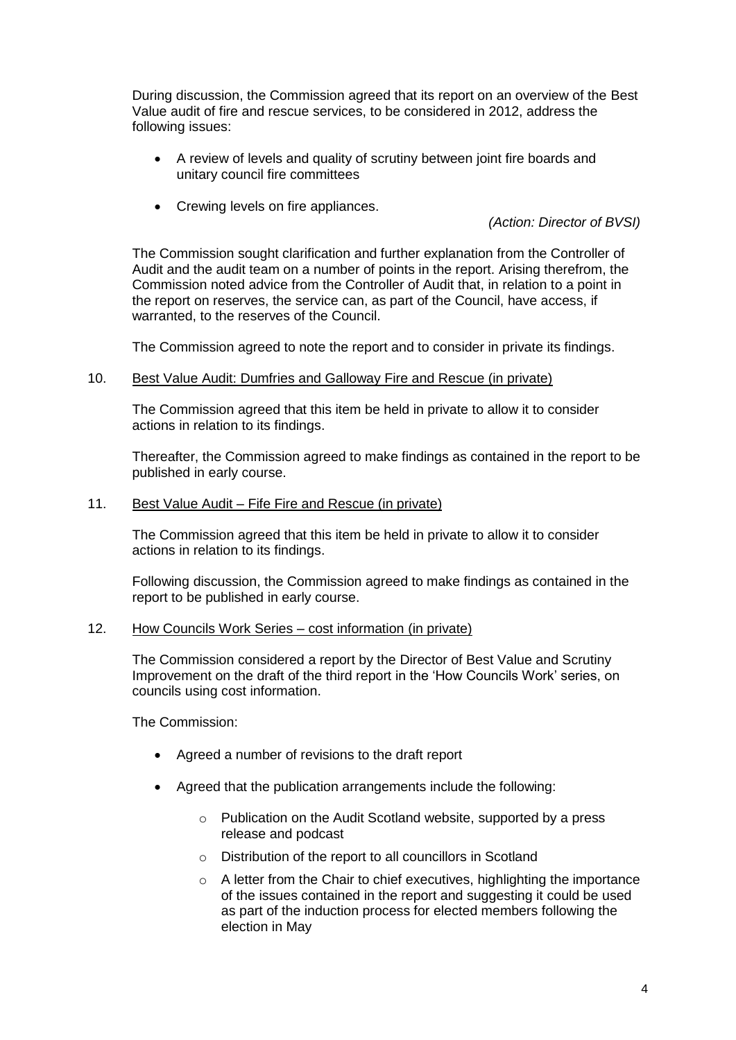During discussion, the Commission agreed that its report on an overview of the Best Value audit of fire and rescue services, to be considered in 2012, address the following issues:

- A review of levels and quality of scrutiny between joint fire boards and unitary council fire committees
- Crewing levels on fire appliances.

*(Action: Director of BVSI)*

The Commission sought clarification and further explanation from the Controller of Audit and the audit team on a number of points in the report. Arising therefrom, the Commission noted advice from the Controller of Audit that, in relation to a point in the report on reserves, the service can, as part of the Council, have access, if warranted, to the reserves of the Council.

The Commission agreed to note the report and to consider in private its findings.

10. Best Value Audit: Dumfries and Galloway Fire and Rescue (in private)

The Commission agreed that this item be held in private to allow it to consider actions in relation to its findings.

Thereafter, the Commission agreed to make findings as contained in the report to be published in early course.

11. Best Value Audit – Fife Fire and Rescue (in private)

The Commission agreed that this item be held in private to allow it to consider actions in relation to its findings.

Following discussion, the Commission agreed to make findings as contained in the report to be published in early course.

#### 12. How Councils Work Series – cost information (in private)

The Commission considered a report by the Director of Best Value and Scrutiny Improvement on the draft of the third report in the 'How Councils Work' series, on councils using cost information.

The Commission:

- Agreed a number of revisions to the draft report
- Agreed that the publication arrangements include the following:
	- o Publication on the Audit Scotland website, supported by a press release and podcast
	- o Distribution of the report to all councillors in Scotland
	- o A letter from the Chair to chief executives, highlighting the importance of the issues contained in the report and suggesting it could be used as part of the induction process for elected members following the election in May